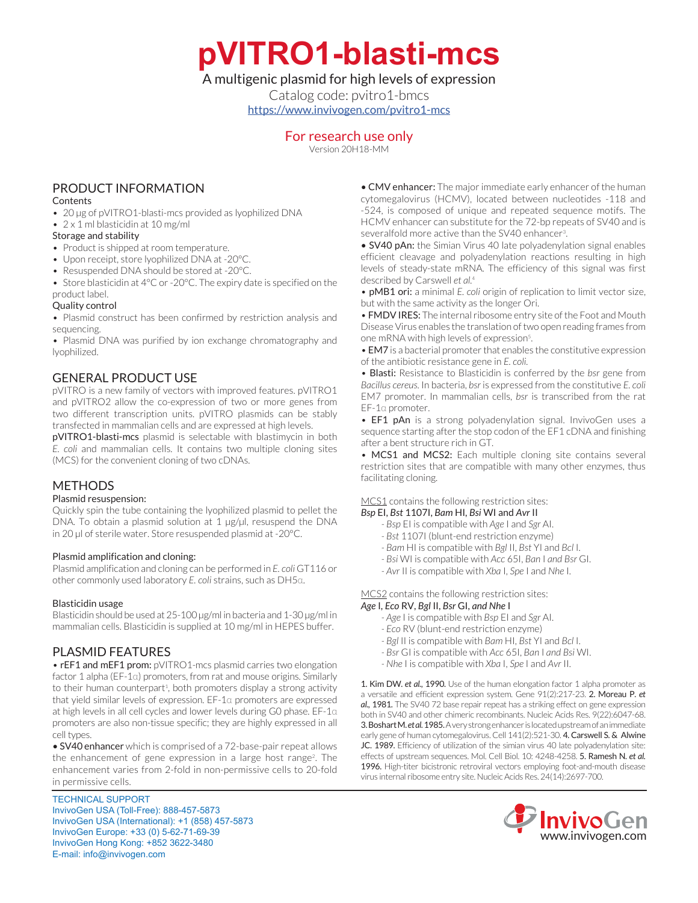**pVITRO1-blasti-mcs**

## A multigenic plasmid for high levels of expression

Catalog code: pvitro1-bmcs [https://www.invivogen.com/pvitro1-mcs](https://www.invivogen.com/pvitro1-mcs )

## For research use only

Version 20H18-MM

# PRODUCT INFORMATION

#### **Contents**

- 20 µg of pVITRO1-blasti-mcs provided as lyophilized DNA
- 2 x 1 ml blasticidin at 10 mg/ml

### Storage and stability

- Product is shipped at room temperature.
- Upon receipt, store lyophilized DNA at -20°C.
- Resuspended DNA should be stored at -20°C.
- Store blasticidin at 4°C or -20°C. The expiry date is specified on the product label.

### Quality control

• Plasmid construct has been confirmed by restriction analysis and sequencing.

• Plasmid DNA was purified by ion exchange chromatography and lyophilized.

# GENERAL PRODUCT USE

pVITRO is a new family of vectors with improved features. pVITRO1 and pVITRO2 allow the co-expression of two or more genes from two different transcription units. pVITRO plasmids can be stably transfected in mammalian cells and are expressed at high levels.

pVITRO1-blasti-mcs plasmid is selectable with blastimycin in both *E. coli* and mammalian cells. It contains two multiple cloning sites (MCS) for the convenient cloning of two cDNAs.

# METHODS

### Plasmid resuspension:

Quickly spin the tube containing the lyophilized plasmid to pellet the DNA. To obtain a plasmid solution at 1 µg/µl, resuspend the DNA in 20 µl of sterile water. Store resuspended plasmid at -20°C.

### Plasmid amplification and cloning:

Plasmid amplification and cloning can be performed in *E. coli* GT116 or other commonly used laboratory *E. coli* strains, such as DH5α.

#### Blasticidin usage

Blasticidin should be used at 25-100 µg/ml in bacteria and 1-30 µg/ml in mammalian cells. Blasticidin is supplied at 10 mg/ml in HEPES buffer.

## PLASMID FEATURES

• rEF1 and mEF1 prom: pVITRO1-mcs plasmid carries two elongation factor 1 alpha (EF-1α) promoters, from rat and mouse origins. Similarly to their human counterpart<sup>1</sup>, both promoters display a strong activity that yield similar levels of expression. EF-1α promoters are expressed at high levels in all cell cycles and lower levels during G0 phase. EF-1α promoters are also non-tissue specific; they are highly expressed in all cell types.

• SV40 enhancer which is comprised of a 72-base-pair repeat allows the enhancement of gene expression in a large host range<sup>2</sup>. The enhancement varies from 2-fold in non-permissive cells to 20-fold in permissive cells.

TECHNICAL SUPPORT InvivoGen USA (Toll‑Free): 888-457-5873 InvivoGen USA (International): +1 (858) 457-5873 InvivoGen Europe: +33 (0) 5-62-71-69-39 InvivoGen Hong Kong: +852 3622-3480 E-mail: info@invivogen.com

• CMV enhancer: The major immediate early enhancer of the human cytomegalovirus (HCMV), located between nucleotides -118 and -524, is composed of unique and repeated sequence motifs. The HCMV enhancer can substitute for the 72-bp repeats of SV40 and is severalfold more active than the SV40 enhancer<sup>3</sup>. .

• SV40 pAn: the Simian Virus 40 late polyadenylation signal enables efficient cleavage and polyadenylation reactions resulting in high levels of steady-state mRNA. The efficiency of this signal was first described by Carswell *et al.*<sup>4</sup>

• pMB1 ori: a minimal *E. coli* origin of replication to limit vector size, but with the same activity as the longer Ori.

• FMDV IRES: The internal ribosome entry site of the Foot and Mouth Disease Virus enables the translation of two open reading frames from one mRNA with high levels of expression<sup>5</sup>. .

• EM7 is a bacterial promoter that enables the constitutive expression of the antibiotic resistance gene in *E. coli.*

• Blasti: Resistance to Blasticidin is conferred by the *bsr* gene from *Bacillus cereus*. In bacteria, *bsr* is expressed from the constitutive *E. coli* EM7 promoter. In mammalian cells, *bsr* is transcribed from the rat EF-1α promoter.

• EF1 pAn is a strong polyadenylation signal. InvivoGen uses a sequence starting after the stop codon of the EF1 cDNA and finishing after a bent structure rich in GT.

• MCS1 and MCS2: Each multiple cloning site contains several restriction sites that are compatible with many other enzymes, thus facilitating cloning.

#### MCS1 contains the following restriction sites: *Bsp* EI, *Bst* 1107I, *Bam* HI, *Bsi* WI and *Avr* II

- *Bsp* EI is compatible with *Age* I and *Sgr* AI.
	- *Bst* 1107I (blunt-end restriction enzyme)
	- *Bam* HI is compatible with *Bgl* II, *Bst* YI and *Bcl* I.
- *Bsi* WI is compatible with *Acc* 65I, *Ban* I *and Bsr* GI.
- *Avr* II is compatible with *Xba* I, *Spe* I and *Nhe* I.

MCS2 contains the following restriction sites: *Age* I, *Eco* RV, *Bgl* II, *Bsr* GI, *and Nhe* I

- *Age* I is compatible with *Bsp* EI and *Sgr* AI.
- *Eco* RV (blunt-end restriction enzyme)
- *Bgl* II is compatible with *Bam* HI, *Bst* YI and *Bcl* I.
- *Bsr* GI is compatible with *Acc* 65I, *Ban* I *and Bsi* WI.
- *Nhe* I is compatible with *Xba* I, *Spe* I and *Avr* II.

1. Kim DW. *et al.,* 1990. Use of the human elongation factor 1 alpha promoter as a versatile and efficient expression system. Gene 91(2):217-23. 2. Moreau P. *et al.,* 1981. The SV40 72 base repair repeat has a striking effect on gene expression both in SV40 and other chimeric recombinants. Nucleic Acids Res. 9(22):6047-68. 3. Boshart M. *et al.* 1985. A very strong enhancer is located upstream of an immediate early gene of human cytomegalovirus. Cell 141(2):521-30. 4. Carswell S. & Alwine JC. 1989. Efficiency of utilization of the simian virus 40 late polyadenylation site: effects of upstream sequences. Mol. Cell Biol. 10: 4248-4258. 5. Ramesh N. *et al.*  1996. High-titer bicistronic retroviral vectors employing foot-and-mouth disease virus internal ribosome entry site. Nucleic Acids Res. 24(14):2697-700.

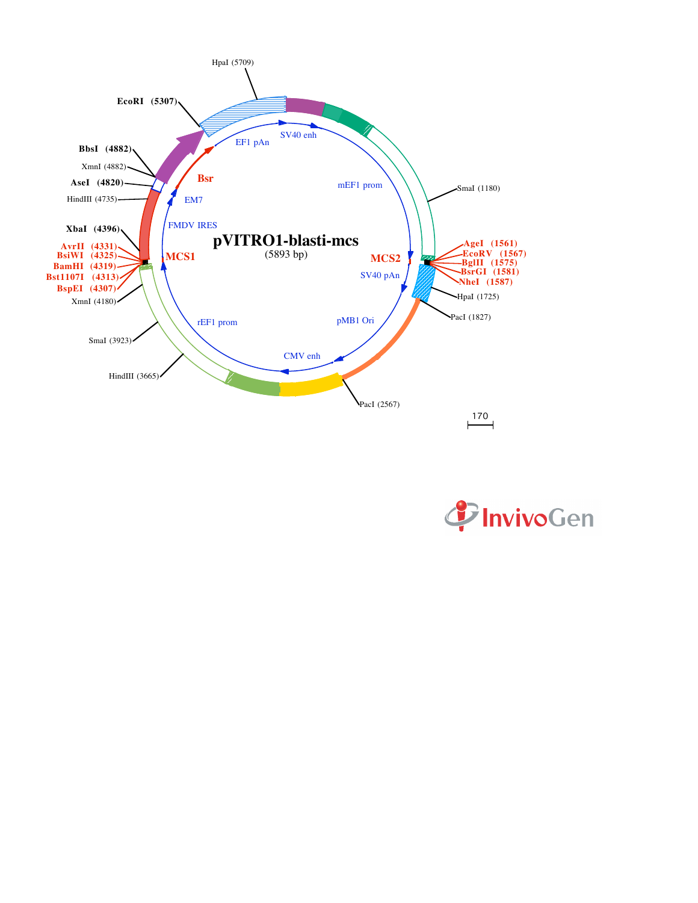

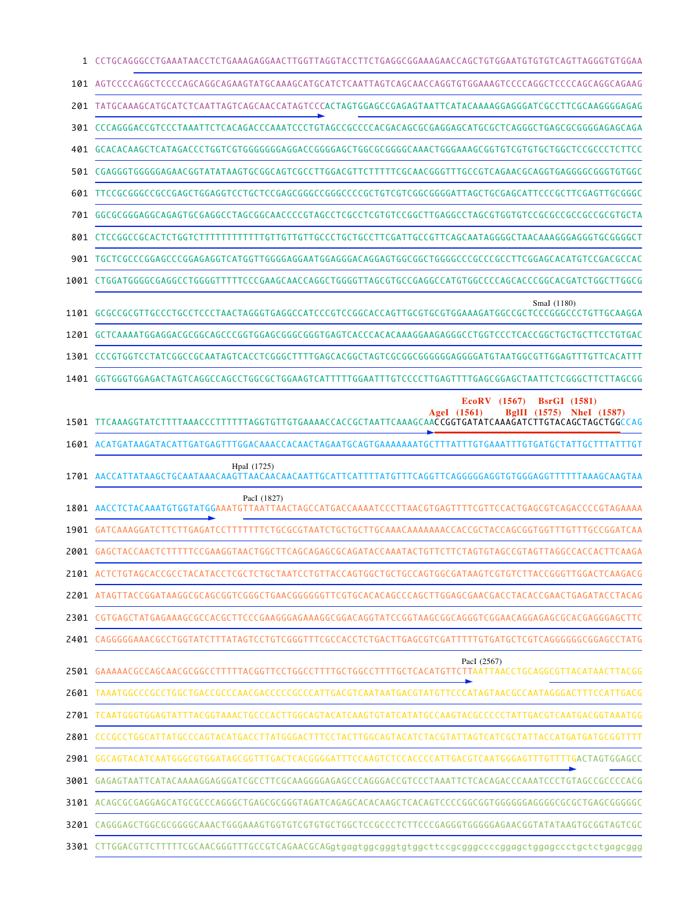| 1    | CCTGCAGGGCCTGAAATAACCTCTGAAAGAGAACTTGGTTAGGTACCTTCTGAGGCGGAAAGAACCAGCTGTGGAATGTGTCAGTTAGGGTGTGGAA                                                                                                |
|------|--------------------------------------------------------------------------------------------------------------------------------------------------------------------------------------------------|
| 101  |                                                                                                                                                                                                  |
|      | 201 TATGCAAAGCATGCATCTCAATTAGTCAGCAACCATAGTCCCACTAGTGGAGCCGAGAGTAATTCATACAAAAGGAGGGATCGCCTTCGCAAGGGGAGAG                                                                                         |
| 301  | CCCAGGGACCGTCCCTAAATTCTCACAGACCCAAATCCCTGTAGCCGCCCCACGACAGCGCGAGGAGCATGCGCTCAGGGCTGAGCGCGGGAGAGCAGA                                                                                              |
| 401  |                                                                                                                                                                                                  |
|      | 501 CGAGGGTGGGGGAGAACGGTATATAAGTGCGGCAGTCGCCTTGGACGTTCTTTTTCGCAACGGGTTTGCCGTCAGAACGCAGGTGAGGGGCGGGTGTGGC                                                                                         |
| 601  | TTCCGCGGGCCGCCGAGCTGGAGGTCCTGCTCCGAGCGGGCCGGGCCCGCTGTCGTCGGCGGGATTAGCTGCGAGCATTCCCGCTTCGAGTTGCGGGC                                                                                               |
|      | 701 GGCGCGGGAGGCAGAGTGCGAGGCCTAGCGGCAACCCCGTAGCCTCGCCTCGTGTCCGGCTTGAGGCCTAGCGTGGTGTCCGCCGCCGCCGCCGTGCT4                                                                                          |
|      |                                                                                                                                                                                                  |
| 901  |                                                                                                                                                                                                  |
|      | 1001 CTGGATGGGGCGAGGCCTGGGGTTTTTCCCGAAGCAACCAGGCTGGGGTTAGCGTGCCGAGGCCATGTGGCCCCAGCACCCGGCACGATCTGGCTTGGCG                                                                                        |
|      | SmaI (1180)                                                                                                                                                                                      |
|      |                                                                                                                                                                                                  |
|      |                                                                                                                                                                                                  |
| 1401 | GGTGGGTGGAGACTAGTCAGGCCAGCCTGGCGCTGGAAGTCATTTTTGGAATTTGTCCCCTTGAGTTTTGAGCGGAGCTAATTCTCGGGCTTCTTAGCGG                                                                                             |
| 1501 | EcoRV (1567)<br><b>BsrGI</b> (1581)<br>BgIII<br>NheI (1587)<br>AgeI (1561)<br>(1575)<br>1601 ACATGATAAGATACATTGATGAGTTTGGACAAACCACAACTAGAATGCAGTGAAAAAAATGCTTTATTTGTGAAATTTGTGATGCTATTGCTTTATTTG |
|      |                                                                                                                                                                                                  |
|      | HpaI (1725)                                                                                                                                                                                      |
| 1801 | PacI (1827)<br>CTACAAATGTGGTATGGAAATGTTAATTAACTAGCCATGACCAAAAT<br>TAACGTGAGTTTT<br>CACTGAGCGTCAGACCCCGTAGAAA<br>CG LI                                                                            |
|      | 1901 GATCAAAGGATCTTCTTGAGATCCTTT                                                                                                                                                                 |
|      | 2001 GAGCTACCAACTCTTT<br>TTCCGAAGGTAACTGGCTTCAGCAGAGCGCAGATACCAAATACTGTTCTTCTAGTGTAGCCGTAGTTAGGCCACCACTTCAAGA                                                                                    |
|      | 2101 ACTCTGTAGCACCGCCTACATACCTCGCTCTGCTAATCCTGTTACCAGTGGCTGCTGCCAGTGGCGATAAGTCGTGTCTTACCGGGTTGGACTCAAGACG                                                                                        |
|      | 2201 ATAGTTACCGGATAAGGCGCAGCGGTCGGGCTGAACGGGGGGTTCGTGCACACAGCCCAGCTTGGAGCGAACGACCTACACCGAACTGAGATACCTACAG                                                                                        |
|      | 2301 CGTGAGCTATGAGAAAGCGCCACGCTTCCCGAAGGGAGAAAGGCGGACAGGTATCCGGTAAGCGGCAGGGTCGGAACAGGAGAGCGCACGAGGGAGCTTC                                                                                        |
|      |                                                                                                                                                                                                  |
|      | PacI (2567)                                                                                                                                                                                      |
|      | 2601 TAAATGGCCCGCCTGGCTGACCGCCCAACGACCCCCGCCCATTGACGTCAATAATGACGTATGTTCCCATAGTAACGCCAATAGGGACTTTCCATTGACG                                                                                        |
|      | 2701 TCAATGGGTGGAGTATTTACGGTAAACTGCCCACTTGGCAGTACATCAAGTGTATCATATGCCAAGTACGCCCCCTATTGACGTCAATGACGGTAAATGG                                                                                        |
|      | 2801 CCCGCCTGGCATTATGCCCAGTACATGACCTTATGGGACTTTCCTACTTGGCAGTACATCTACGTATTAGTCATCGCTATTACCATGATGATGCGGTTTT                                                                                        |
|      |                                                                                                                                                                                                  |
|      | 3001 GAGAGTAATTCATACAAAAGGAGGGATCGCCTTCGCAAGGGGAGAGCCCAGGGACCGTCCCTAAATTCTCACAGACCCAAATCCCTGTAGCCGCCCCACG                                                                                        |
|      | 3101 ACAGCGCGAGGAGCATGCGCCCAGGGCTGAGCGCGGGTAGATCAGAGCACACAAGCTCACAGTCCCCGGCGGTGGGGGAGGGGCGCGCTGAGCGGGGG                                                                                          |
|      |                                                                                                                                                                                                  |
|      | 3201 CAGGGAGCTGGCGCGGGGCAAACTGGGAAAGTGGTGTCGTGTGCTGGCTCCGCCCTCTTCCCGAGGGTGGGGAGAACGGTATATAAGTGCGGTAGTCGC                                                                                         |